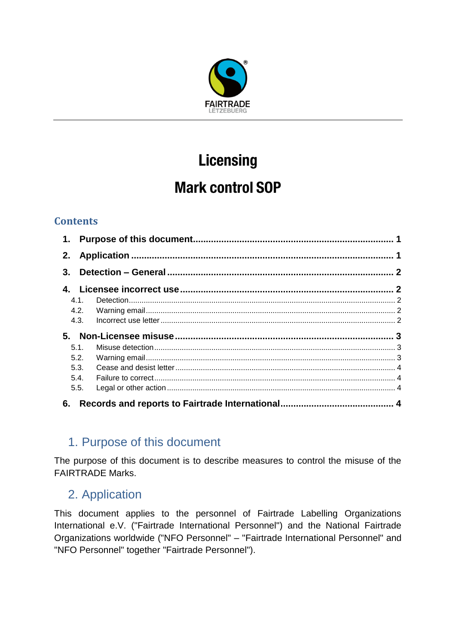

# **Licensing**

## **Mark control SOP**

## **Contents**

| 2. |      |  |  |
|----|------|--|--|
| 3. |      |  |  |
| 4. |      |  |  |
|    | 4.1. |  |  |
|    |      |  |  |
|    | 4.3. |  |  |
|    |      |  |  |
|    | 5.1. |  |  |
|    | 5.2. |  |  |
|    | 5.3. |  |  |
|    | 5.4. |  |  |
|    | 5.5. |  |  |
| 6. |      |  |  |

## <span id="page-0-0"></span>1. Purpose of this document

The purpose of this document is to describe measures to control the misuse of the FAIRTRADE Marks.

## <span id="page-0-1"></span>2. Application

This document applies to the personnel of Fairtrade Labelling Organizations International e.V. ("Fairtrade International Personnel") and the National Fairtrade Organizations worldwide ("NFO Personnel" – "Fairtrade International Personnel" and "NFO Personnel" together "Fairtrade Personnel").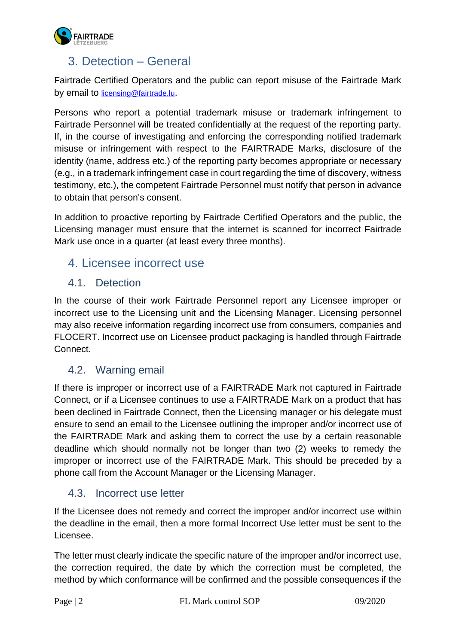

## <span id="page-1-0"></span>3. Detection – General

Fairtrade Certified Operators and the public can report misuse of the Fairtrade Mark by email to [licensing@fairtrade.lu](mailto:licensing@fairtrade.lu).

Persons who report a potential trademark misuse or trademark infringement to Fairtrade Personnel will be treated confidentially at the request of the reporting party. If, in the course of investigating and enforcing the corresponding notified trademark misuse or infringement with respect to the FAIRTRADE Marks, disclosure of the identity (name, address etc.) of the reporting party becomes appropriate or necessary (e.g., in a trademark infringement case in court regarding the time of discovery, witness testimony, etc.), the competent Fairtrade Personnel must notify that person in advance to obtain that person's consent.

In addition to proactive reporting by Fairtrade Certified Operators and the public, the Licensing manager must ensure that the internet is scanned for incorrect Fairtrade Mark use once in a quarter (at least every three months).

## <span id="page-1-1"></span>4. Licensee incorrect use

#### <span id="page-1-2"></span>4.1. Detection

In the course of their work Fairtrade Personnel report any Licensee improper or incorrect use to the Licensing unit and the Licensing Manager. Licensing personnel may also receive information regarding incorrect use from consumers, companies and FLOCERT. Incorrect use on Licensee product packaging is handled through Fairtrade Connect.

#### <span id="page-1-3"></span>4.2. Warning email

If there is improper or incorrect use of a FAIRTRADE Mark not captured in Fairtrade Connect, or if a Licensee continues to use a FAIRTRADE Mark on a product that has been declined in Fairtrade Connect, then the Licensing manager or his delegate must ensure to send an email to the Licensee outlining the improper and/or incorrect use of the FAIRTRADE Mark and asking them to correct the use by a certain reasonable deadline which should normally not be longer than two (2) weeks to remedy the improper or incorrect use of the FAIRTRADE Mark. This should be preceded by a phone call from the Account Manager or the Licensing Manager.

#### <span id="page-1-4"></span>4.3. Incorrect use letter

If the Licensee does not remedy and correct the improper and/or incorrect use within the deadline in the email, then a more formal Incorrect Use letter must be sent to the Licensee.

The letter must clearly indicate the specific nature of the improper and/or incorrect use, the correction required, the date by which the correction must be completed, the method by which conformance will be confirmed and the possible consequences if the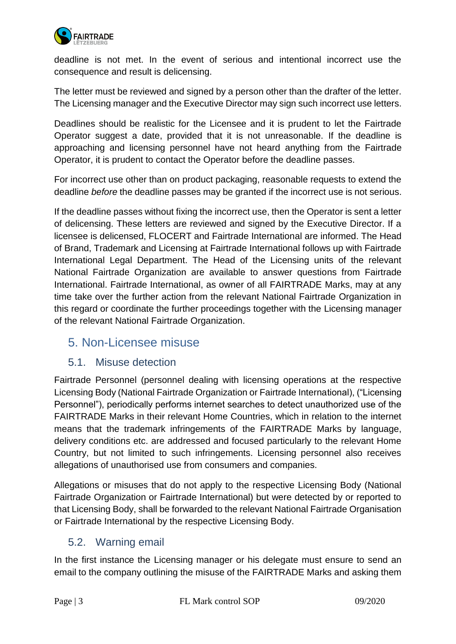

deadline is not met. In the event of serious and intentional incorrect use the consequence and result is delicensing.

The letter must be reviewed and signed by a person other than the drafter of the letter. The Licensing manager and the Executive Director may sign such incorrect use letters.

Deadlines should be realistic for the Licensee and it is prudent to let the Fairtrade Operator suggest a date, provided that it is not unreasonable. If the deadline is approaching and licensing personnel have not heard anything from the Fairtrade Operator, it is prudent to contact the Operator before the deadline passes.

For incorrect use other than on product packaging, reasonable requests to extend the deadline *before* the deadline passes may be granted if the incorrect use is not serious.

If the deadline passes without fixing the incorrect use, then the Operator is sent a letter of delicensing. These letters are reviewed and signed by the Executive Director. If a licensee is delicensed, FLOCERT and Fairtrade International are informed. The Head of Brand, Trademark and Licensing at Fairtrade International follows up with Fairtrade International Legal Department. The Head of the Licensing units of the relevant National Fairtrade Organization are available to answer questions from Fairtrade International. Fairtrade International, as owner of all FAIRTRADE Marks, may at any time take over the further action from the relevant National Fairtrade Organization in this regard or coordinate the further proceedings together with the Licensing manager of the relevant National Fairtrade Organization.

## <span id="page-2-0"></span>5. Non-Licensee misuse

#### <span id="page-2-1"></span>5.1. Misuse detection

Fairtrade Personnel (personnel dealing with licensing operations at the respective Licensing Body (National Fairtrade Organization or Fairtrade International), ("Licensing Personnel"), periodically performs internet searches to detect unauthorized use of the FAIRTRADE Marks in their relevant Home Countries, which in relation to the internet means that the trademark infringements of the FAIRTRADE Marks by language, delivery conditions etc. are addressed and focused particularly to the relevant Home Country, but not limited to such infringements. Licensing personnel also receives allegations of unauthorised use from consumers and companies.

Allegations or misuses that do not apply to the respective Licensing Body (National Fairtrade Organization or Fairtrade International) but were detected by or reported to that Licensing Body, shall be forwarded to the relevant National Fairtrade Organisation or Fairtrade International by the respective Licensing Body.

#### <span id="page-2-2"></span>5.2. Warning email

In the first instance the Licensing manager or his delegate must ensure to send an email to the company outlining the misuse of the FAIRTRADE Marks and asking them